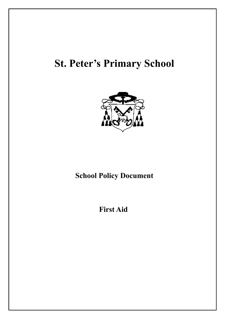# **St. Peter's Primary School**



# **School Policy Document**

## **First Aid**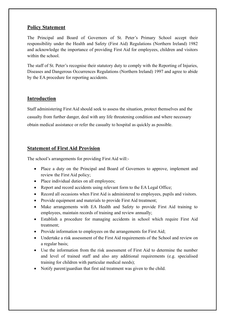### **Policy Statement**

The Principal and Board of Governors of St. Peter's Primary School accept their responsibility under the Health and Safety (First Aid) Regulations (Northern Ireland) 1982 and acknowledge the importance of providing First Aid for employees, children and visitors within the school.

The staff of St. Peter's recognise their statutory duty to comply with the Reporting of Injuries, Diseases and Dangerous Occurrences Regulations (Northern Ireland) 1997 and agree to abide by the EA procedure for reporting accidents.

#### **Introduction**

Staff administering First Aid should seek to assess the situation, protect themselves and the casualty from further danger, deal with any life threatening condition and where necessary obtain medical assistance or refer the casualty to hospital as quickly as possible.

#### **Statement of First Aid Provision**

The school's arrangements for providing First Aid will:-

- Place a duty on the Principal and Board of Governors to approve, implement and review the First Aid policy;
- Place individual duties on all employees;
- Report and record accidents using relevant form to the EA Legal Office;
- Record all occasions when First Aid is administered to employees, pupils and visitors.
- Provide equipment and materials to provide First Aid treatment;
- Make arrangements with EA Health and Safety to provide First Aid training to employees, maintain records of training and review annually;
- Establish a procedure for managing accidents in school which require First Aid treatment;
- Provide information to employees on the arrangements for First Aid;
- Undertake a risk assessment of the First Aid requirements of the School and review on a regular basis;
- Use the information from the risk assessment of First Aid to determine the number and level of trained staff and also any additional requirements (e.g. specialised training for children with particular medical needs);
- Notify parent/guardian that first aid treatment was given to the child.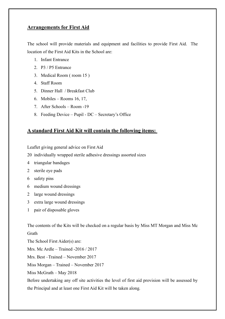#### **Arrangements for First Aid**

The school will provide materials and equipment and facilities to provide First Aid. The location of the First Aid Kits in the School are:

- 1. Infant Entrance
- 2. P3 / P5 Entrance
- 3. Medical Room ( room 15 )
- 4. Staff Room
- 5. Dinner Hall / Breakfast Club
- 6. Mobiles Rooms 16, 17,
- 7. After Schools Room -19
- 8. Feeding Device Pupil DC Secretary's Office

#### **A standard First Aid Kit will contain the following items:**

Leaflet giving general advice on First Aid

- 20 individually wrapped sterile adhesive dressings assorted sizes
- 4 triangular bandages
- 2 sterile eye pads
- 6 safety pins
- 6 medium wound dressings
- 2 large wound dressings
- 3 extra large wound dressings
- 1 pair of disposable gloves

The contents of the Kits will be checked on a regular basis by Miss MT Morgan and Miss Mc Grath

The School First Aider(s) are:

Mrs. Mc Ardle – Trained -2016 / 2017

Mrs. Best –Trained – November 2017

Miss Morgan – Trained – November 2017

Miss McGrath – May 2018

Before undertaking any off site activities the level of first aid provision will be assessed by the Principal and at least one First Aid Kit will be taken along*.*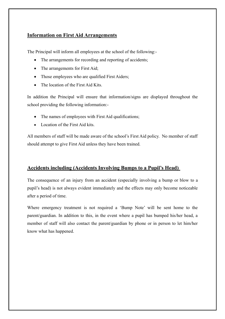### **Information on First Aid Arrangements**

The Principal will inform all employees at the school of the following:-

- The arrangements for recording and reporting of accidents;
- The arrangements for First Aid;
- Those employees who are qualified First Aiders;
- The location of the First Aid Kits.

In addition the Principal will ensure that information/signs are displayed throughout the school providing the following information:-

- The names of employees with First Aid qualifications;
- Location of the First Aid kits.

All members of staff will be made aware of the school's First Aid policy. No member of staff should attempt to give First Aid unless they have been trained.

#### **Accidents including (Accidents Involving Bumps to a Pupil's Head)**

The consequence of an injury from an accident (especially involving a bump or blow to a pupil's head) is not always evident immediately and the effects may only become noticeable after a period of time.

Where emergency treatment is not required a 'Bump Note' will be sent home to the parent/guardian. In addition to this, in the event where a pupil has bumped his/her head, a member of staff will also contact the parent/guardian by phone or in person to let him/her know what has happened.